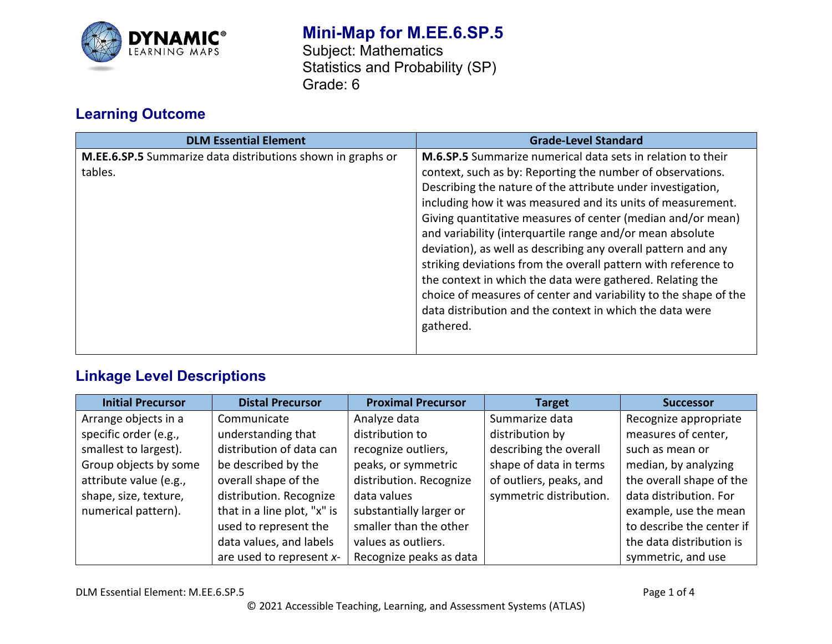

# **Mini-Map for M.EE.6.SP.5**

Subject: Mathematics Statistics and Probability (SP) Grade: 6

## **Learning Outcome**

| <b>DLM Essential Element</b>                                           | <b>Grade-Level Standard</b>                                                                                                                                                                                                                                                                                                                                                                                                                                 |
|------------------------------------------------------------------------|-------------------------------------------------------------------------------------------------------------------------------------------------------------------------------------------------------------------------------------------------------------------------------------------------------------------------------------------------------------------------------------------------------------------------------------------------------------|
| M.EE.6.SP.5 Summarize data distributions shown in graphs or<br>tables. | <b>M.6.SP.5</b> Summarize numerical data sets in relation to their<br>context, such as by: Reporting the number of observations.<br>Describing the nature of the attribute under investigation,<br>including how it was measured and its units of measurement.<br>Giving quantitative measures of center (median and/or mean)<br>and variability (interquartile range and/or mean absolute<br>deviation), as well as describing any overall pattern and any |
|                                                                        | striking deviations from the overall pattern with reference to<br>the context in which the data were gathered. Relating the<br>choice of measures of center and variability to the shape of the<br>data distribution and the context in which the data were<br>gathered.                                                                                                                                                                                    |

## **Linkage Level Descriptions**

| <b>Initial Precursor</b> | <b>Distal Precursor</b>     | <b>Proximal Precursor</b> | <b>Target</b>           | <b>Successor</b>          |
|--------------------------|-----------------------------|---------------------------|-------------------------|---------------------------|
| Arrange objects in a     | Communicate                 | Analyze data              | Summarize data          | Recognize appropriate     |
| specific order (e.g.,    | understanding that          | distribution to           | distribution by         | measures of center,       |
| smallest to largest).    | distribution of data can    | recognize outliers,       | describing the overall  | such as mean or           |
| Group objects by some    | be described by the         | peaks, or symmetric       | shape of data in terms  | median, by analyzing      |
| attribute value (e.g.,   | overall shape of the        | distribution. Recognize   | of outliers, peaks, and | the overall shape of the  |
| shape, size, texture,    | distribution. Recognize     | data values               | symmetric distribution. | data distribution. For    |
| numerical pattern).      | that in a line plot, "x" is | substantially larger or   |                         | example, use the mean     |
|                          | used to represent the       | smaller than the other    |                         | to describe the center if |
|                          | data values, and labels     | values as outliers.       |                         | the data distribution is  |
|                          | are used to represent x-    | Recognize peaks as data   |                         | symmetric, and use        |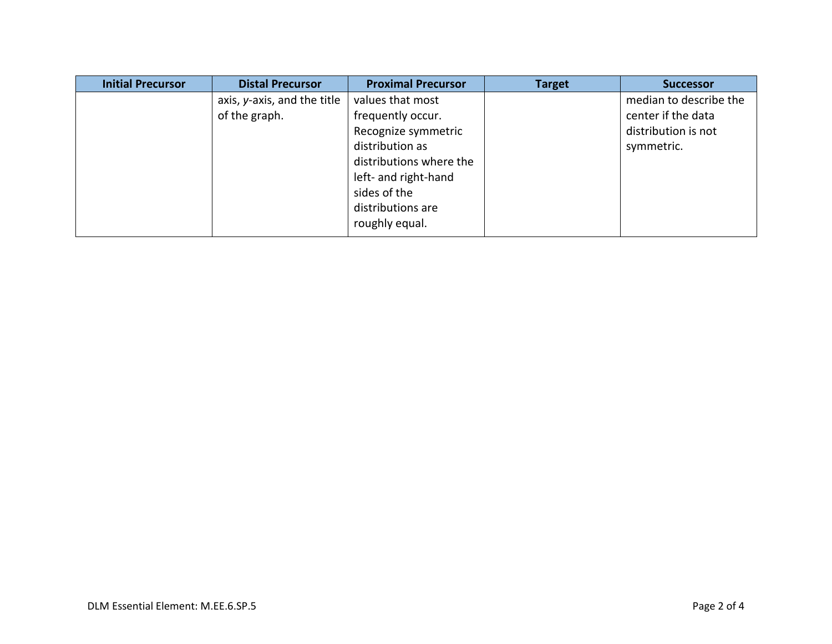| <b>Initial Precursor</b> | <b>Distal Precursor</b>     | <b>Proximal Precursor</b> | <b>Target</b> | <b>Successor</b>       |
|--------------------------|-----------------------------|---------------------------|---------------|------------------------|
|                          | axis, y-axis, and the title | values that most          |               | median to describe the |
|                          | of the graph.               | frequently occur.         |               | center if the data     |
|                          |                             | Recognize symmetric       |               | distribution is not    |
|                          |                             | distribution as           |               | symmetric.             |
|                          |                             | distributions where the   |               |                        |
|                          |                             | left- and right-hand      |               |                        |
|                          |                             | sides of the              |               |                        |
|                          |                             | distributions are         |               |                        |
|                          |                             | roughly equal.            |               |                        |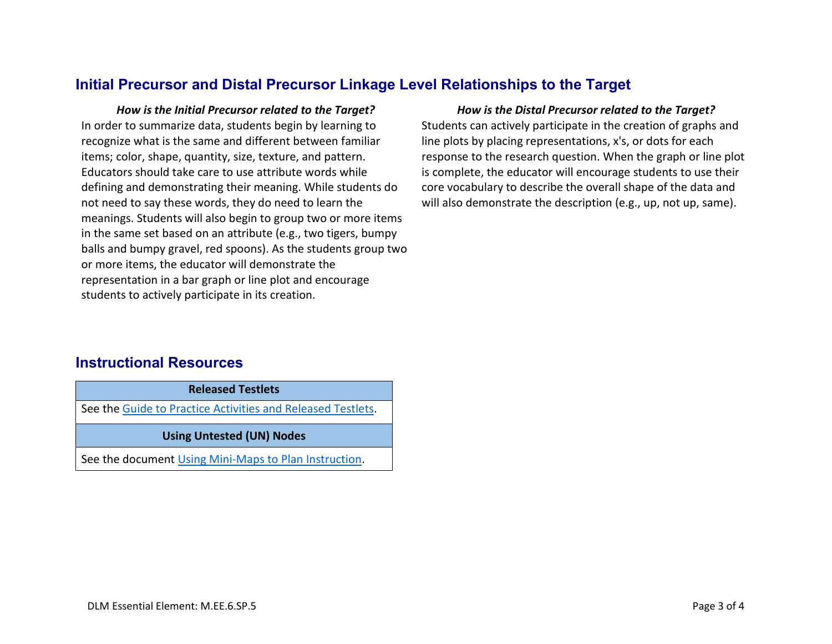## **Initial Precursor and Distal Precursor Linkage Level Relationships to the Target**

*How is the Initial Precursor related to the Target? How is the Distal Precursor related to the Target?* In order to summarize data, students begin by learning to recognize what is the same and different between familiar items; color, shape, quantity, size, texture, and pattern. Educators should take care to use attribute words while defining and demonstrating their meaning. While students do not need to say these words, they do need to learn the meanings. Students will also begin to group two or more items in the same set based on an attribute (e.g., two tigers, bumpy balls and bumpy gravel, red spoons). As the students group two or more items, the educator will demonstrate the representation in a bar graph or line plot and encourage students to actively participate in its creation.

Students can actively participate in the creation of graphs and line plots by placing representations, x's, or dots for each response to the research question. When the graph or line plot is complete, the educator will encourage students to use their core vocabulary to describe the overall shape of the data and will also demonstrate the description (e.g., up, not up, same).

### **Instructional Resources**

**Released Testlets**

See the [Guide to Practice Activities and Released Testlets.](https://dynamiclearningmaps.org/sites/default/files/documents/Manuals_Blueprints/Guide_to_Practice_Activities_and_Released_Testlets.pdf)

#### **Using Untested (UN) Nodes**

See the document [Using Mini-Maps to Plan Instruction.](https://dynamiclearningmaps.org/sites/default/files/documents/Using_Mini_Maps_to_Plan_Instruction.pdf)